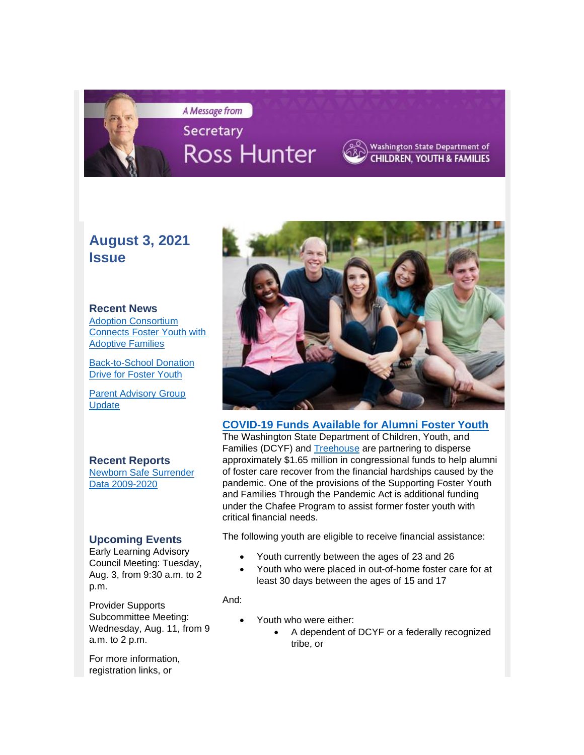# A Message from

# Secretary **Ross Hunter**



## Washington State Department of **CHILDREN, YOUTH & FAMILIES**

# **August 3, 2021 Issue**

#### **Recent News** [Adoption Consortium](https://lnks.gd/l/eyJhbGciOiJIUzI1NiJ9.eyJidWxsZXRpbl9saW5rX2lkIjoxMDAsInVyaSI6ImJwMjpjbGljayIsImJ1bGxldGluX2lkIjoiMjAyMTA4MDMuNDQwNTUyMzEiLCJ1cmwiOiJodHRwczovL3d3dy5kY3lmLndhLmdvdi9uZXdzL2Fkb3B0aW9uLWNvbnNvcnRpdW0tY29ubmVjdHMtZm9zdGVyLXlvdXRoLWFkb3B0aXZlLWZhbWlsaWVzIn0.DSyVn53ha6p9jcKVCT8GxmPIACdNJxUG8o4tkuSstLQ/s/906594969/br/110306748087-l)  [Connects Foster Youth with](https://lnks.gd/l/eyJhbGciOiJIUzI1NiJ9.eyJidWxsZXRpbl9saW5rX2lkIjoxMDAsInVyaSI6ImJwMjpjbGljayIsImJ1bGxldGluX2lkIjoiMjAyMTA4MDMuNDQwNTUyMzEiLCJ1cmwiOiJodHRwczovL3d3dy5kY3lmLndhLmdvdi9uZXdzL2Fkb3B0aW9uLWNvbnNvcnRpdW0tY29ubmVjdHMtZm9zdGVyLXlvdXRoLWFkb3B0aXZlLWZhbWlsaWVzIn0.DSyVn53ha6p9jcKVCT8GxmPIACdNJxUG8o4tkuSstLQ/s/906594969/br/110306748087-l)  [Adoptive Families](https://lnks.gd/l/eyJhbGciOiJIUzI1NiJ9.eyJidWxsZXRpbl9saW5rX2lkIjoxMDAsInVyaSI6ImJwMjpjbGljayIsImJ1bGxldGluX2lkIjoiMjAyMTA4MDMuNDQwNTUyMzEiLCJ1cmwiOiJodHRwczovL3d3dy5kY3lmLndhLmdvdi9uZXdzL2Fkb3B0aW9uLWNvbnNvcnRpdW0tY29ubmVjdHMtZm9zdGVyLXlvdXRoLWFkb3B0aXZlLWZhbWlsaWVzIn0.DSyVn53ha6p9jcKVCT8GxmPIACdNJxUG8o4tkuSstLQ/s/906594969/br/110306748087-l)

[Back-to-School Donation](https://lnks.gd/l/eyJhbGciOiJIUzI1NiJ9.eyJidWxsZXRpbl9saW5rX2lkIjoxMDEsInVyaSI6ImJwMjpjbGljayIsImJ1bGxldGluX2lkIjoiMjAyMTA4MDMuNDQwNTUyMzEiLCJ1cmwiOiJodHRwczovL3d3dy5kY3lmLndhLmdvdi9uZXdzL2JhY2stc2Nob29sLWRvbmF0aW9uLWRyaXZlLWZvc3Rlci15b3V0aCJ9.3idnRSQ4rmvANkctEWXARcW4OxftzC_8zV69a0xy9Ro/s/906594969/br/110306748087-l)  [Drive for Foster Youth](https://lnks.gd/l/eyJhbGciOiJIUzI1NiJ9.eyJidWxsZXRpbl9saW5rX2lkIjoxMDEsInVyaSI6ImJwMjpjbGljayIsImJ1bGxldGluX2lkIjoiMjAyMTA4MDMuNDQwNTUyMzEiLCJ1cmwiOiJodHRwczovL3d3dy5kY3lmLndhLmdvdi9uZXdzL2JhY2stc2Nob29sLWRvbmF0aW9uLWRyaXZlLWZvc3Rlci15b3V0aCJ9.3idnRSQ4rmvANkctEWXARcW4OxftzC_8zV69a0xy9Ro/s/906594969/br/110306748087-l)

[Parent Advisory Group](https://lnks.gd/l/eyJhbGciOiJIUzI1NiJ9.eyJidWxsZXRpbl9saW5rX2lkIjoxMDIsInVyaSI6ImJwMjpjbGljayIsImJ1bGxldGluX2lkIjoiMjAyMTA4MDMuNDQwNTUyMzEiLCJ1cmwiOiJodHRwczovL3d3dy5kY3lmLndhLmdvdi9uZXdzL3BhcmVudC1hZHZpc29yeS1ncm91cC11cGRhdGUifQ.2ir5B5QhtnhTxZxxVI-89uxq0gn1uuAYykjWFMcM_cA/s/906594969/br/110306748087-l)  [Update](https://lnks.gd/l/eyJhbGciOiJIUzI1NiJ9.eyJidWxsZXRpbl9saW5rX2lkIjoxMDIsInVyaSI6ImJwMjpjbGljayIsImJ1bGxldGluX2lkIjoiMjAyMTA4MDMuNDQwNTUyMzEiLCJ1cmwiOiJodHRwczovL3d3dy5kY3lmLndhLmdvdi9uZXdzL3BhcmVudC1hZHZpc29yeS1ncm91cC11cGRhdGUifQ.2ir5B5QhtnhTxZxxVI-89uxq0gn1uuAYykjWFMcM_cA/s/906594969/br/110306748087-l)

## **Recent Reports**

[Newborn Safe Surrender](https://lnks.gd/l/eyJhbGciOiJIUzI1NiJ9.eyJidWxsZXRpbl9saW5rX2lkIjoxMDMsInVyaSI6ImJwMjpjbGljayIsImJ1bGxldGluX2lkIjoiMjAyMTA4MDMuNDQwNTUyMzEiLCJ1cmwiOiJodHRwczovL3d3dy5kY3lmLndhLmdvdi9zaXRlcy9kZWZhdWx0L2ZpbGVzL3BkZi9yZXBvcnRzL05ld2Jvcm5TYWZlU3VycmVuZGVyMjAyMS5wZGYifQ.aZpP23nzR11ESnHlcL7JZ7fdSI1Gz0-MLfCy0VpPWK0/s/906594969/br/110306748087-l)  [Data 2009-2020](https://lnks.gd/l/eyJhbGciOiJIUzI1NiJ9.eyJidWxsZXRpbl9saW5rX2lkIjoxMDMsInVyaSI6ImJwMjpjbGljayIsImJ1bGxldGluX2lkIjoiMjAyMTA4MDMuNDQwNTUyMzEiLCJ1cmwiOiJodHRwczovL3d3dy5kY3lmLndhLmdvdi9zaXRlcy9kZWZhdWx0L2ZpbGVzL3BkZi9yZXBvcnRzL05ld2Jvcm5TYWZlU3VycmVuZGVyMjAyMS5wZGYifQ.aZpP23nzR11ESnHlcL7JZ7fdSI1Gz0-MLfCy0VpPWK0/s/906594969/br/110306748087-l)

## **Upcoming Events**

Early Learning Advisory Council Meeting: Tuesday, Aug. 3, from 9:30 a.m. to 2 p.m.

Provider Supports Subcommittee Meeting: Wednesday, Aug. 11, from 9 a.m. to 2 p.m.

For more information, registration links, or



**[COVID-19 Funds Available for Alumni Foster Youth](https://lnks.gd/l/eyJhbGciOiJIUzI1NiJ9.eyJidWxsZXRpbl9saW5rX2lkIjoxMDQsInVyaSI6ImJwMjpjbGljayIsImJ1bGxldGluX2lkIjoiMjAyMTA4MDMuNDQwNTUyMzEiLCJ1cmwiOiJodHRwczovL3d3dy50cmVlaG91c2Vmb3JraWRzLm9yZy9wYW5kZW1pYy1haWQvIn0.T-IFwiCP3wWaVZbbhE5UOvSwRFrFtp_kizEje-nwB2c/s/906594969/br/110306748087-l)** The Washington State Department of Children, Youth, and Families (DCYF) and **Treehouse** are partnering to disperse approximately \$1.65 million in congressional funds to help alumni of foster care recover from the financial hardships caused by the pandemic. One of the provisions of the Supporting Foster Youth and Families Through the Pandemic Act is additional funding under the Chafee Program to assist former foster youth with critical financial needs.

The following youth are eligible to receive financial assistance:

- Youth currently between the ages of 23 and 26
- Youth who were placed in out-of-home foster care for at least 30 days between the ages of 15 and 17

And:

- Youth who were either:
	- A dependent of DCYF or a federally recognized tribe, or